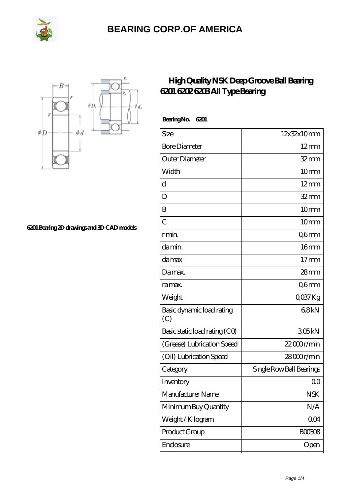

## **[BEARING CORP.OF AMERICA](https://www.freshmxnfood.com)**



**[6201 Bearing 2D drawings and 3D CAD models](https://www.freshmxnfood.com/pic-65271674.html)**

## **[High Quality NSK Deep Groove Ball Bearing](https://www.freshmxnfood.com/nsk-6201-bearing/) [6201 6202 6203 All Type Bearing](https://www.freshmxnfood.com/nsk-6201-bearing/)**

 **Bearing No. 6201**

| Size                             | 12x32x10mm               |
|----------------------------------|--------------------------|
| <b>Bore Diameter</b>             | $12 \text{mm}$           |
| Outer Diameter                   | $32 \, \text{mm}$        |
| Width                            | 10mm                     |
| d                                | $12 \text{mm}$           |
| D                                | $32$ mm                  |
| B                                | 10 <sub>mm</sub>         |
| $\overline{C}$                   | 10mm                     |
| r min.                           | Q6mm                     |
| da min.                          | 16 <sub>mm</sub>         |
| damax                            | 17 <sub>mm</sub>         |
| Damax.                           | $28 \text{mm}$           |
| ra max.                          | Q6mm                     |
| Weight                           | $Q$ <sup>O</sup> $37$ Kg |
| Basic dynamic load rating<br>(C) | 68kN                     |
| Basic static load rating (CO)    | 305kN                    |
| (Grease) Lubrication Speed       | $22000$ r/min            |
| (Oil) Lubrication Speed          | 28000r/min               |
| Category                         | Single Row Ball Bearings |
| Inventory                        | 00                       |
| Manufacturer Name                | <b>NSK</b>               |
| Minimum Buy Quantity             | N/A                      |
| Weight / Kilogram                | 004                      |
| Product Group                    | <b>BOO3O8</b>            |
| Enclosure                        | Open                     |
|                                  |                          |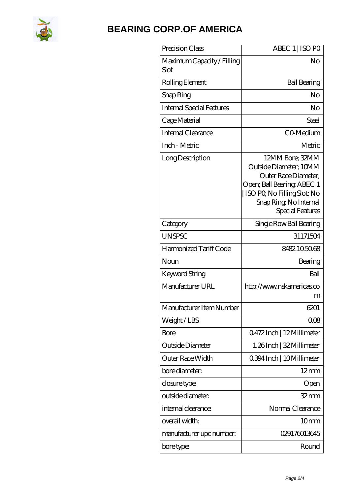

## **[BEARING CORP.OF AMERICA](https://www.freshmxnfood.com)**

| Precision Class                    | ABEC 1   ISO PO                                                                                                                                                             |
|------------------------------------|-----------------------------------------------------------------------------------------------------------------------------------------------------------------------------|
| Maximum Capacity / Filling<br>Slot | No                                                                                                                                                                          |
| Rolling Element                    | <b>Ball Bearing</b>                                                                                                                                                         |
| Snap Ring                          | No                                                                                                                                                                          |
| <b>Internal Special Features</b>   | No                                                                                                                                                                          |
| Cage Material                      | Steel                                                                                                                                                                       |
| Internal Clearance                 | CO-Medium                                                                                                                                                                   |
| Inch - Metric                      | Metric                                                                                                                                                                      |
| Long Description                   | 12MM Bore; 32MM<br>Outside Diameter; 10MM<br>Outer Race Diameter:<br>Open; Ball Bearing; ABEC 1<br>ISO PQ No Filling Slot; No<br>Snap Ring, No Internal<br>Special Features |
| Category                           | Single Row Ball Bearing                                                                                                                                                     |
| <b>UNSPSC</b>                      | 31171504                                                                                                                                                                    |
| Harmonized Tariff Code             | 8482105068                                                                                                                                                                  |
| Noun                               | Bearing                                                                                                                                                                     |
| Keyword String                     | Ball                                                                                                                                                                        |
| Manufacturer URL                   | http://www.nskamericas.co<br>m                                                                                                                                              |
| Manufacturer Item Number           | 6201                                                                                                                                                                        |
| Weight/LBS                         | 008                                                                                                                                                                         |
| Bore                               | 0472Inch   12Millimeter                                                                                                                                                     |
| Outside Diameter                   | 1.26Inch   32 Millimeter                                                                                                                                                    |
| Outer Race Width                   | 0.394 Inch   10 Millimeter                                                                                                                                                  |
| bore diameter:                     | $12 \text{mm}$                                                                                                                                                              |
| closure type:                      | Open                                                                                                                                                                        |
| outside diameter:                  | $32$ mm                                                                                                                                                                     |
| internal clearance:                | Normal Clearance                                                                                                                                                            |
| overall width:                     | 10 <sub>mm</sub>                                                                                                                                                            |
| manufacturer upc number:           | 029176013645                                                                                                                                                                |
| bore type:                         | Round                                                                                                                                                                       |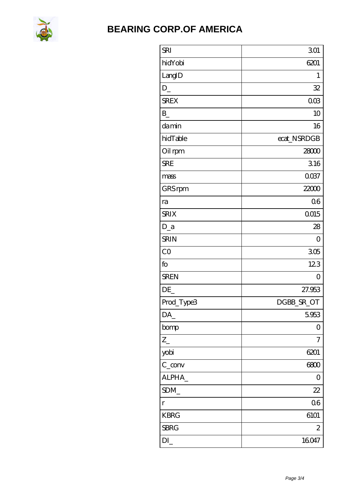

## **BEARING CORP.OF AMERICA**

| <b>SRI</b>                     | 301             |
|--------------------------------|-----------------|
| hidYobi                        | 6201            |
| LangID                         | 1               |
| $D_{-}$                        | 32              |
| <b>SREX</b>                    | 00 <sup>3</sup> |
| $\mathbf{B}$                   | 10              |
| damin                          | 16              |
| hidTable                       | ecat_NSRDGB     |
| Oil rpm                        | 28000           |
| <b>SRE</b>                     | 316             |
| mass                           | 0037            |
| GRS rpm                        | 22000           |
| ra                             | 06              |
| <b>SRIX</b>                    | 0015            |
| $D_a$                          | 28              |
| <b>SRIN</b>                    | $\overline{O}$  |
| CO                             | 305             |
| fo                             | 123             |
| <b>SREN</b>                    | 0               |
| DE                             | 27.953          |
| Prod_Type3                     | DGBB_SR_OT      |
| DA_                            | 5953            |
| bomp                           | 0               |
| $Z_{-}$                        | 7               |
| yobi                           | 6201            |
| $C_{conv}$                     | 6800            |
| ALPHA_                         | $\mathcal{O}$   |
| SDM                            | 22              |
| $\Gamma$                       | 06              |
| <b>KBRG</b>                    | 6101            |
| <b>SBRG</b>                    | $\mathbf{z}$    |
| $DI$ <sub><math>-</math></sub> | 16047           |